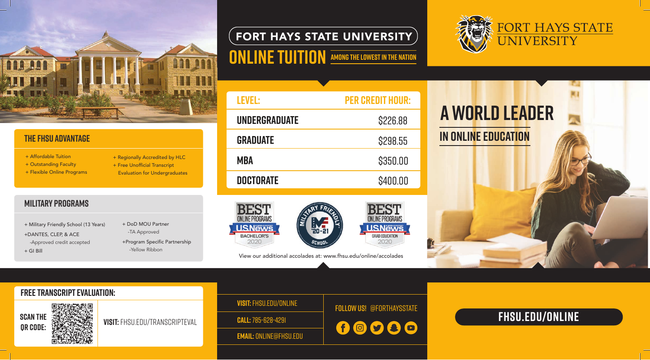View our additional accolades at: www.fhsu.edu/online/accolades

## **FORT HAYS STATE UNIVERSITY**

# **ONLINE TUITION AMONG THE LOWEST IN THE NATION**





## FORT HAYS STATE **JNIVERSITY**

### **military programs**

- + Military Friendly School (13 Years) +DANTES, CLEP, & ACE -Approved credit accepted
- + GI Bill
- + DoD MOU Partner -TA Approved
- +Program Specific Partnership -Yellow Ribbon



## **the fhsu advantage**

- + Affordable Tuition
- + Outstanding Faculty
- + Flexible Online Programs
- + Regionally Accredited by HLC
- + Free Unofficial Transcript Evaluation for Undergraduates

## **FHSU.EDU/online**

# F0llow us! @forthaysstate **Visit:** fhsu.edu/online

00000

**Call:** 785-628-4291

**Email:** online@fhsu.edu

**Free transcript evaluation:** 



**SCAN THE SERVICE STATE VISIT:** FHSU.EDU/TRANSCRIPTEVAL

| <b>LEVEL:</b>        | <b>PER CREDIT HOUR:</b> |
|----------------------|-------------------------|
| <b>UNDERGRADUATE</b> | \$226.88                |
| <b>GRADUATE</b>      | \$298.55                |
| MBA                  | \$350.00                |
| <b>DOCTORATE</b>     | \$400.00                |
|                      |                         |
| E'Q'I                | DECT                    |